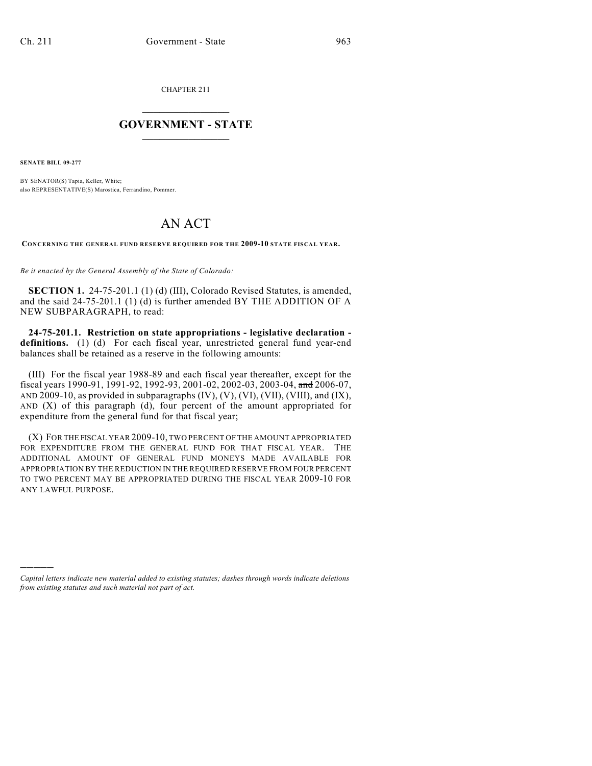CHAPTER 211

## $\overline{\phantom{a}}$  . The set of the set of the set of the set of the set of the set of the set of the set of the set of the set of the set of the set of the set of the set of the set of the set of the set of the set of the set o **GOVERNMENT - STATE**  $\_$   $\_$   $\_$   $\_$   $\_$   $\_$   $\_$   $\_$   $\_$

**SENATE BILL 09-277**

)))))

BY SENATOR(S) Tapia, Keller, White; also REPRESENTATIVE(S) Marostica, Ferrandino, Pommer.

## AN ACT

**CONCERNING THE GENERAL FUND RESERVE REQUIRED FOR THE 2009-10 STATE FISCAL YEAR.**

*Be it enacted by the General Assembly of the State of Colorado:*

**SECTION 1.** 24-75-201.1 (1) (d) (III), Colorado Revised Statutes, is amended, and the said 24-75-201.1 (1) (d) is further amended BY THE ADDITION OF A NEW SUBPARAGRAPH, to read:

**24-75-201.1. Restriction on state appropriations - legislative declaration definitions.** (1) (d) For each fiscal year, unrestricted general fund year-end balances shall be retained as a reserve in the following amounts:

(III) For the fiscal year 1988-89 and each fiscal year thereafter, except for the fiscal years 1990-91, 1991-92, 1992-93, 2001-02, 2002-03, 2003-04, and 2006-07, AND 2009-10, as provided in subparagraphs  $(IV)$ ,  $(V)$ ,  $(VI)$ ,  $(VII)$ ,  $(VIII)$ ,  $\overline{and} (IX)$ , AND (X) of this paragraph (d), four percent of the amount appropriated for expenditure from the general fund for that fiscal year;

(X) FOR THE FISCAL YEAR2009-10, TWO PERCENT OF THE AMOUNT APPROPRIATED FOR EXPENDITURE FROM THE GENERAL FUND FOR THAT FISCAL YEAR. THE ADDITIONAL AMOUNT OF GENERAL FUND MONEYS MADE AVAILABLE FOR APPROPRIATION BY THE REDUCTION IN THE REQUIRED RESERVE FROM FOUR PERCENT TO TWO PERCENT MAY BE APPROPRIATED DURING THE FISCAL YEAR 2009-10 FOR ANY LAWFUL PURPOSE.

*Capital letters indicate new material added to existing statutes; dashes through words indicate deletions from existing statutes and such material not part of act.*